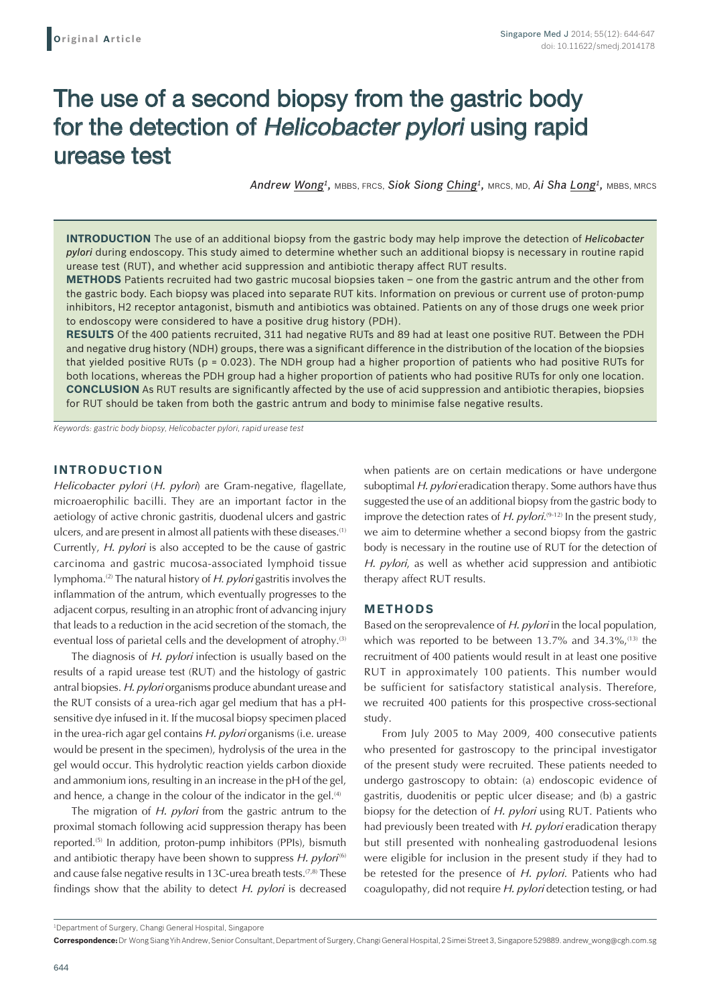# The use of a second biopsy from the gastric body for the detection of Helicobacter pylori using rapid urease test

*Andrew Wong1,* MBBS, FRCS, *Siok Siong Ching1,* MRCS, MD, *Ai Sha Long1,* MBBS, MRCS

**INTRODUCTION** The use of an additional biopsy from the gastric body may help improve the detection of *Helicobacter pylori* during endoscopy. This study aimed to determine whether such an additional biopsy is necessary in routine rapid urease test (RUT), and whether acid suppression and antibiotic therapy affect RUT results.

**METHODS** Patients recruited had two gastric mucosal biopsies taken – one from the gastric antrum and the other from the gastric body. Each biopsy was placed into separate RUT kits. Information on previous or current use of proton-pump inhibitors, H2 receptor antagonist, bismuth and antibiotics was obtained. Patients on any of those drugs one week prior to endoscopy were considered to have a positive drug history (PDH).

**RESULTS** Of the 400 patients recruited, 311 had negative RUTs and 89 had at least one positive RUT. Between the PDH and negative drug history (NDH) groups, there was a significant difference in the distribution of the location of the biopsies that yielded positive RUTs (p = 0.023). The NDH group had a higher proportion of patients who had positive RUTs for both locations, whereas the PDH group had a higher proportion of patients who had positive RUTs for only one location. **CONCLUSION** As RUT results are significantly affected by the use of acid suppression and antibiotic therapies, biopsies for RUT should be taken from both the gastric antrum and body to minimise false negative results.

*Keywords: gastric body biopsy, Helicobacter pylori, rapid urease test*

## **INTRODUCTION**

*Helicobacter pylori* (*H. pylori*) are Gram-negative, flagellate, microaerophilic bacilli. They are an important factor in the aetiology of active chronic gastritis, duodenal ulcers and gastric ulcers, and are present in almost all patients with these diseases.(1) Currently, *H. pylori* is also accepted to be the cause of gastric carcinoma and gastric mucosa-associated lymphoid tissue lymphoma.(2) The natural history of *H*. *pylori* gastritis involves the inflammation of the antrum, which eventually progresses to the adjacent corpus, resulting in an atrophic front of advancing injury that leads to a reduction in the acid secretion of the stomach, the eventual loss of parietal cells and the development of atrophy.<sup>(3)</sup>

The diagnosis of *H. pylori* infection is usually based on the results of a rapid urease test (RUT) and the histology of gastric antral biopsies. *H. pylori* organisms produce abundant urease and the RUT consists of a urea-rich agar gel medium that has a pHsensitive dye infused in it. If the mucosal biopsy specimen placed in the urea-rich agar gel contains *H. pylori* organisms (i.e. urease would be present in the specimen), hydrolysis of the urea in the gel would occur. This hydrolytic reaction yields carbon dioxide and ammonium ions, resulting in an increase in the pH of the gel, and hence, a change in the colour of the indicator in the gel. $(4)$ 

The migration of *H. pylori* from the gastric antrum to the proximal stomach following acid suppression therapy has been reported.<sup>(5)</sup> In addition, proton-pump inhibitors (PPIs), bismuth and antibiotic therapy have been shown to suppress *H. pylori*<sup>(6)</sup> and cause false negative results in 13C-urea breath tests.<sup>(7,8)</sup> These findings show that the ability to detect *H. pylori* is decreased when patients are on certain medications or have undergone suboptimal *H. pylori* eradication therapy. Some authors have thus suggested the use of an additional biopsy from the gastric body to improve the detection rates of *H. pylori*.<sup>(9-12)</sup> In the present study, we aim to determine whether a second biopsy from the gastric body is necessary in the routine use of RUT for the detection of *H. pylori*, as well as whether acid suppression and antibiotic therapy affect RUT results.

### **METHODS**

Based on the seroprevalence of *H. pylori* in the local population, which was reported to be between 13.7% and 34.3%,<sup>(13)</sup> the recruitment of 400 patients would result in at least one positive RUT in approximately 100 patients. This number would be sufficient for satisfactory statistical analysis. Therefore, we recruited 400 patients for this prospective cross-sectional study.

From July 2005 to May 2009, 400 consecutive patients who presented for gastroscopy to the principal investigator of the present study were recruited. These patients needed to undergo gastroscopy to obtain: (a) endoscopic evidence of gastritis, duodenitis or peptic ulcer disease; and (b) a gastric biopsy for the detection of *H. pylori* using RUT. Patients who had previously been treated with *H. pylori* eradication therapy but still presented with nonhealing gastroduodenal lesions were eligible for inclusion in the present study if they had to be retested for the presence of *H. pylori*. Patients who had coagulopathy, did not require *H. pylori* detection testing, or had

<sup>1</sup> Department of Surgery, Changi General Hospital, Singapore

**Correspondence:** Dr Wong Siang Yih Andrew, Senior Consultant, Department of Surgery, Changi General Hospital, 2 Simei Street 3, Singapore 529889. andrew\_wong@cgh.com.sg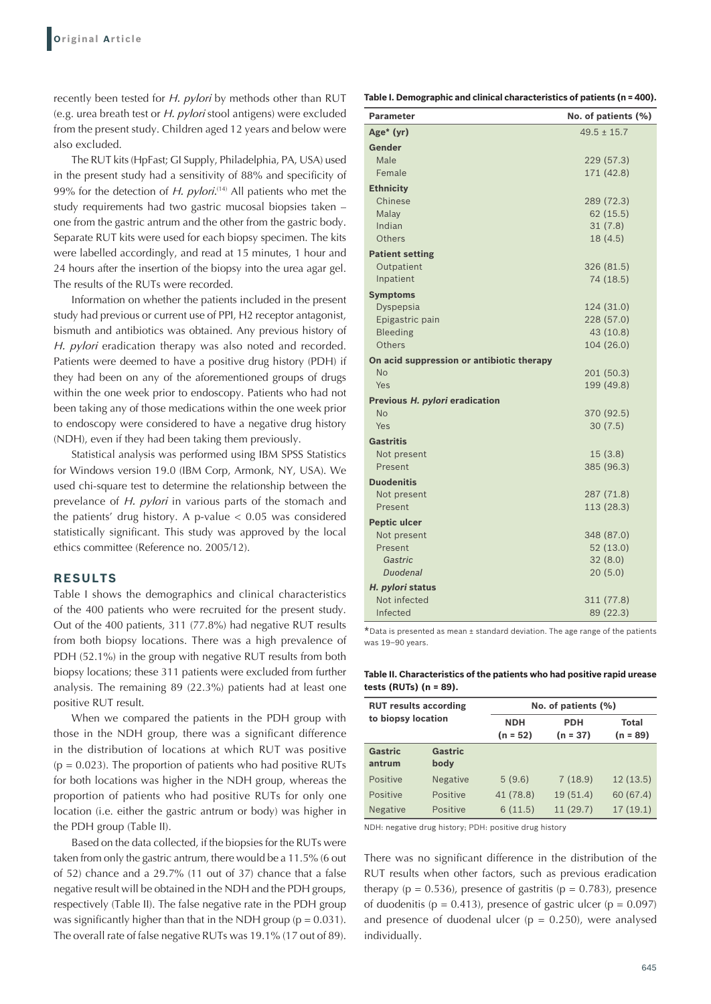recently been tested for *H. pylori* by methods other than RUT (e.g. urea breath test or *H. pylori* stool antigens) were excluded from the present study. Children aged 12 years and below were also excluded.

The RUT kits (HpFast; GI Supply, Philadelphia, PA, USA) used in the present study had a sensitivity of 88% and specificity of 99% for the detection of *H. pylori*.<sup>(14)</sup> All patients who met the study requirements had two gastric mucosal biopsies taken – one from the gastric antrum and the other from the gastric body. Separate RUT kits were used for each biopsy specimen. The kits were labelled accordingly, and read at 15 minutes, 1 hour and 24 hours after the insertion of the biopsy into the urea agar gel. The results of the RUTs were recorded.

Information on whether the patients included in the present study had previous or current use of PPI, H2 receptor antagonist, bismuth and antibiotics was obtained. Any previous history of *H. pylori* eradication therapy was also noted and recorded. Patients were deemed to have a positive drug history (PDH) if they had been on any of the aforementioned groups of drugs within the one week prior to endoscopy. Patients who had not been taking any of those medications within the one week prior to endoscopy were considered to have a negative drug history (NDH), even if they had been taking them previously.

Statistical analysis was performed using IBM SPSS Statistics for Windows version 19.0 (IBM Corp, Armonk, NY, USA). We used chi-square test to determine the relationship between the prevelance of *H. pylori* in various parts of the stomach and the patients' drug history. A p-value  $< 0.05$  was considered statistically significant. This study was approved by the local ethics committee (Reference no. 2005/12).

## **RESULTS**

Table I shows the demographics and clinical characteristics of the 400 patients who were recruited for the present study. Out of the 400 patients, 311 (77.8%) had negative RUT results from both biopsy locations. There was a high prevalence of PDH (52.1%) in the group with negative RUT results from both biopsy locations; these 311 patients were excluded from further analysis. The remaining 89 (22.3%) patients had at least one positive RUT result.

When we compared the patients in the PDH group with those in the NDH group, there was a significant difference in the distribution of locations at which RUT was positive  $(p = 0.023)$ . The proportion of patients who had positive RUTs for both locations was higher in the NDH group, whereas the proportion of patients who had positive RUTs for only one location (i.e. either the gastric antrum or body) was higher in the PDH group (Table II).

Based on the data collected, if the biopsies for the RUTs were taken from only the gastric antrum, there would be a 11.5% (6 out of 52) chance and a 29.7% (11 out of 37) chance that a false negative result will be obtained in the NDH and the PDH groups, respectively (Table II). The false negative rate in the PDH group was significantly higher than that in the NDH group ( $p = 0.031$ ). The overall rate of false negative RUTs was 19.1% (17 out of 89).

**Table I. Demographic and clinical characteristics of patients (n = 400).**

| <b>Parameter</b>                          | No. of patients (%)      |
|-------------------------------------------|--------------------------|
| Age* (yr)                                 | $49.5 \pm 15.7$          |
| Gender                                    |                          |
| Male                                      | 229 (57.3)               |
| Female                                    | 171 (42.8)               |
| <b>Ethnicity</b>                          |                          |
| Chinese                                   | 289 (72.3)               |
| Malay                                     | 62(15.5)                 |
| Indian                                    | 31(7.8)                  |
| Others                                    | 18(4.5)                  |
| <b>Patient setting</b>                    |                          |
| Outpatient                                | 326 (81.5)               |
| Inpatient                                 | 74 (18.5)                |
| <b>Symptoms</b>                           |                          |
| Dyspepsia<br>Epigastric pain              | 124 (31.0)<br>228 (57.0) |
| <b>Bleeding</b>                           | 43 (10.8)                |
| Others                                    | 104 (26.0)               |
| On acid suppression or antibiotic therapy |                          |
| <b>No</b>                                 | 201 (50.3)               |
| Yes                                       | 199 (49.8)               |
| Previous H. pylori eradication            |                          |
| <b>No</b>                                 | 370 (92.5)               |
| Yes                                       | 30(7.5)                  |
| <b>Gastritis</b>                          |                          |
| Not present                               | 15(3.8)                  |
| Present                                   | 385 (96.3)               |
| <b>Duodenitis</b>                         |                          |
| Not present                               | 287 (71.8)               |
| Present                                   | 113 (28.3)               |
| <b>Peptic ulcer</b>                       |                          |
| Not present                               | 348 (87.0)               |
| Present                                   | 52(13.0)                 |
| Gastric<br><b>Duodenal</b>                | 32(8.0)<br>20(5.0)       |
| H. pylori status                          |                          |
| Not infected                              | 311 (77.8)               |
| Infected                                  | 89 (22.3)                |

\*Data is presented as mean <sup>±</sup> standard deviation. The age range of the patients was 19–90 years.

#### **Table II. Characteristics of the patients who had positive rapid urease tests (RUTs) (n = 89).**

| <b>RUT results according</b><br>to biopsy location |                 |                          | No. of patients (%)      |                     |  |
|----------------------------------------------------|-----------------|--------------------------|--------------------------|---------------------|--|
|                                                    |                 | <b>NDH</b><br>$(n = 52)$ | <b>PDH</b><br>$(n = 37)$ | Total<br>$(n = 89)$ |  |
| <b>Gastric</b><br>antrum                           | Gastric<br>body |                          |                          |                     |  |
| Positive                                           | <b>Negative</b> | 5(9.6)                   | 7(18.9)                  | 12(13.5)            |  |
| Positive                                           | Positive        | 41 (78.8)                | 19(51.4)                 | 60 (67.4)           |  |
| <b>Negative</b>                                    | Positive        | 6(11.5)                  | 11(29.7)                 | 17(19.1)            |  |

NDH: negative drug history; PDH: positive drug history

There was no significant difference in the distribution of the RUT results when other factors, such as previous eradication therapy ( $p = 0.536$ ), presence of gastritis ( $p = 0.783$ ), presence of duodenitis ( $p = 0.413$ ), presence of gastric ulcer ( $p = 0.097$ ) and presence of duodenal ulcer ( $p = 0.250$ ), were analysed individually.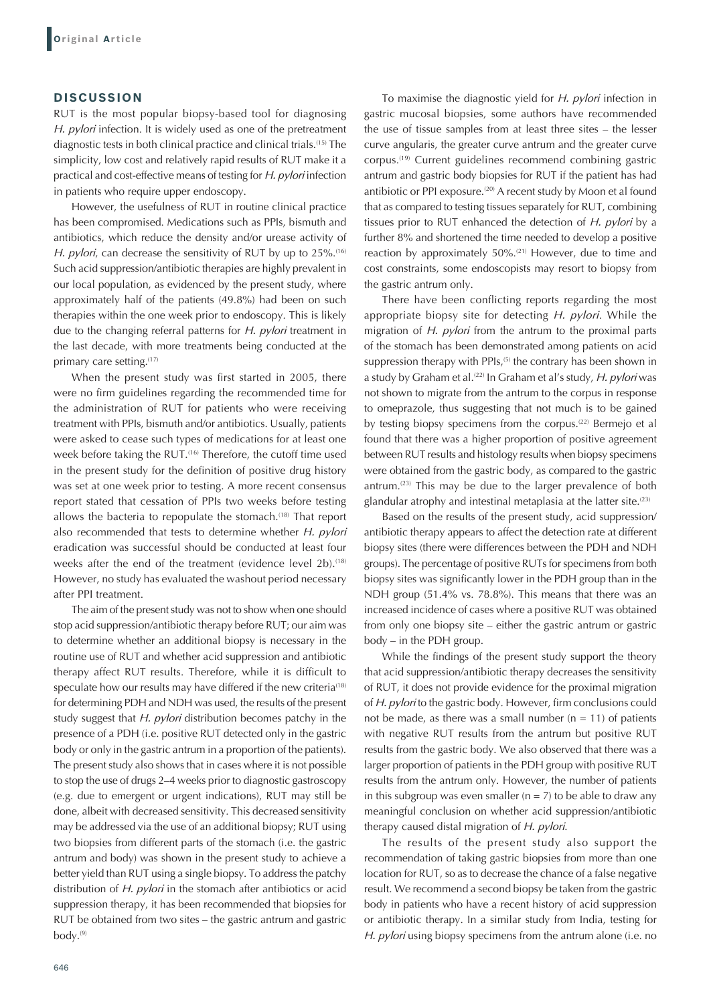## **DISCUSSION**

RUT is the most popular biopsy-based tool for diagnosing *H. pylori* infection. It is widely used as one of the pretreatment diagnostic tests in both clinical practice and clinical trials.(15) The simplicity, low cost and relatively rapid results of RUT make it a practical and cost-effective means of testing for *H. pylori* infection in patients who require upper endoscopy.

However, the usefulness of RUT in routine clinical practice has been compromised. Medications such as PPIs, bismuth and antibiotics, which reduce the density and/or urease activity of *H. pylori*, can decrease the sensitivity of RUT by up to 25%.<sup>(16)</sup> Such acid suppression/antibiotic therapies are highly prevalent in our local population, as evidenced by the present study, where approximately half of the patients (49.8%) had been on such therapies within the one week prior to endoscopy. This is likely due to the changing referral patterns for *H. pylori* treatment in the last decade, with more treatments being conducted at the primary care setting.<sup>(17)</sup>

When the present study was first started in 2005, there were no firm guidelines regarding the recommended time for the administration of RUT for patients who were receiving treatment with PPIs, bismuth and/or antibiotics. Usually, patients were asked to cease such types of medications for at least one week before taking the RUT.<sup>(16)</sup> Therefore, the cutoff time used in the present study for the definition of positive drug history was set at one week prior to testing. A more recent consensus report stated that cessation of PPIs two weeks before testing allows the bacteria to repopulate the stomach.(18) That report also recommended that tests to determine whether *H. pylori* eradication was successful should be conducted at least four weeks after the end of the treatment (evidence level 2b).<sup>(18)</sup> However, no study has evaluated the washout period necessary after PPI treatment.

The aim of the present study was not to show when one should stop acid suppression/antibiotic therapy before RUT; our aim was to determine whether an additional biopsy is necessary in the routine use of RUT and whether acid suppression and antibiotic therapy affect RUT results. Therefore, while it is difficult to speculate how our results may have differed if the new criteria<sup>(18)</sup> for determining PDH and NDH was used, the results of the present study suggest that *H. pylori* distribution becomes patchy in the presence of a PDH (i.e. positive RUT detected only in the gastric body or only in the gastric antrum in a proportion of the patients). The present study also shows that in cases where it is not possible to stop the use of drugs 2–4 weeks prior to diagnostic gastroscopy (e.g. due to emergent or urgent indications), RUT may still be done, albeit with decreased sensitivity. This decreased sensitivity may be addressed via the use of an additional biopsy; RUT using two biopsies from different parts of the stomach (i.e. the gastric antrum and body) was shown in the present study to achieve a better yield than RUT using a single biopsy. To address the patchy distribution of *H. pylori* in the stomach after antibiotics or acid suppression therapy, it has been recommended that biopsies for RUT be obtained from two sites – the gastric antrum and gastric body. $^{(9)}$ 

To maximise the diagnostic yield for *H. pylori* infection in gastric mucosal biopsies, some authors have recommended the use of tissue samples from at least three sites – the lesser curve angularis, the greater curve antrum and the greater curve corpus.(19) Current guidelines recommend combining gastric antrum and gastric body biopsies for RUT if the patient has had antibiotic or PPI exposure.<sup>(20)</sup> A recent study by Moon et al found that as compared to testing tissues separately for RUT, combining tissues prior to RUT enhanced the detection of *H. pylori* by a further 8% and shortened the time needed to develop a positive reaction by approximately 50%.<sup>(21)</sup> However, due to time and cost constraints, some endoscopists may resort to biopsy from the gastric antrum only.

There have been conflicting reports regarding the most appropriate biopsy site for detecting *H. pylori*. While the migration of *H. pylori* from the antrum to the proximal parts of the stomach has been demonstrated among patients on acid suppression therapy with PPIs,<sup>(5)</sup> the contrary has been shown in a study by Graham et al.(22) In Graham et al's study, *H. pylori* was not shown to migrate from the antrum to the corpus in response to omeprazole, thus suggesting that not much is to be gained by testing biopsy specimens from the corpus.<sup>(22)</sup> Bermejo et al found that there was a higher proportion of positive agreement between RUT results and histology results when biopsy specimens were obtained from the gastric body, as compared to the gastric antrum.<sup>(23)</sup> This may be due to the larger prevalence of both glandular atrophy and intestinal metaplasia at the latter site.<sup>(23)</sup>

Based on the results of the present study, acid suppression/ antibiotic therapy appears to affect the detection rate at different biopsy sites (there were differences between the PDH and NDH groups). The percentage of positive RUTs for specimens from both biopsy sites was significantly lower in the PDH group than in the NDH group (51.4% vs. 78.8%). This means that there was an increased incidence of cases where a positive RUT was obtained from only one biopsy site – either the gastric antrum or gastric body – in the PDH group.

While the findings of the present study support the theory that acid suppression/antibiotic therapy decreases the sensitivity of RUT, it does not provide evidence for the proximal migration of *H. pylori* to the gastric body. However, firm conclusions could not be made, as there was a small number  $(n = 11)$  of patients with negative RUT results from the antrum but positive RUT results from the gastric body. We also observed that there was a larger proportion of patients in the PDH group with positive RUT results from the antrum only. However, the number of patients in this subgroup was even smaller  $(n = 7)$  to be able to draw any meaningful conclusion on whether acid suppression/antibiotic therapy caused distal migration of *H. pylori*.

The results of the present study also support the recommendation of taking gastric biopsies from more than one location for RUT, so as to decrease the chance of a false negative result. We recommend a second biopsy be taken from the gastric body in patients who have a recent history of acid suppression or antibiotic therapy. In a similar study from India, testing for *H. pylori* using biopsy specimens from the antrum alone (i.e. no